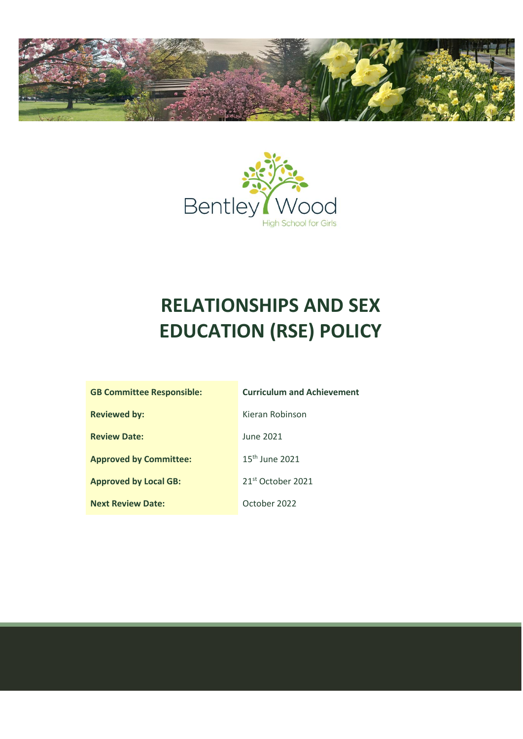



# **RELATIONSHIPS AND SEX EDUCATION (RSE) POLICY**

| <b>GB Committee Responsible:</b> | <b>Curriculum and Achievement</b> |
|----------------------------------|-----------------------------------|
| <b>Reviewed by:</b>              | Kieran Robinson                   |
| <b>Review Date:</b>              | June 2021                         |
| <b>Approved by Committee:</b>    | $15th$ June 2021                  |
| <b>Approved by Local GB:</b>     | 21 <sup>st</sup> October 2021     |
| <b>Next Review Date:</b>         | October 2022                      |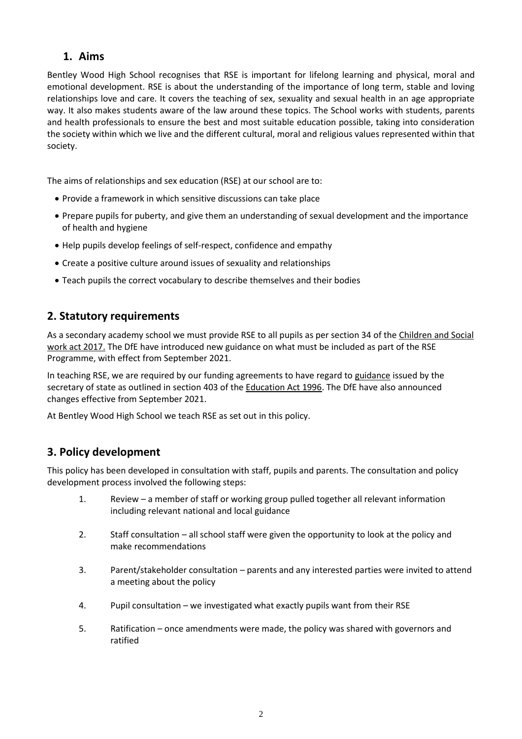#### **1. Aims**

Bentley Wood High School recognises that RSE is important for lifelong learning and physical, moral and emotional development. RSE is about the understanding of the importance of long term, stable and loving relationships love and care. It covers the teaching of sex, sexuality and sexual health in an age appropriate way. It also makes students aware of the law around these topics. The School works with students, parents and health professionals to ensure the best and most suitable education possible, taking into consideration the society within which we live and the different cultural, moral and religious values represented within that society.

The aims of relationships and sex education (RSE) at our school are to:

- Provide a framework in which sensitive discussions can take place
- Prepare pupils for puberty, and give them an understanding of sexual development and the importance of health and hygiene
- Help pupils develop feelings of self-respect, confidence and empathy
- Create a positive culture around issues of sexuality and relationships
- Teach pupils the correct vocabulary to describe themselves and their bodies

## **2. Statutory requirements**

As a secondary academy school we must provide RSE to all pupils as per section 34 of th[e Children and Social](http://www.legislation.gov.uk/ukpga/2017/16/section/34/enacted)  [work act 2017.](http://www.legislation.gov.uk/ukpga/2017/16/section/34/enacted) The DfE have introduced new guidance on what must be included as part of the RSE Programme, with effect from September 2021.

In teaching RSE, we are required by our funding agreements to have regard to [guidance](https://www.gov.uk/government/consultations/relationships-and-sex-education-and-health-education) issued by the secretary of state as outlined in section 403 of the [Education Act 1996.](http://www.legislation.gov.uk/ukpga/1996/56/contents) The DfE have also announced changes effective from September 2021.

At Bentley Wood High School we teach RSE as set out in this policy.

## **3. Policy development**

This policy has been developed in consultation with staff, pupils and parents. The consultation and policy development process involved the following steps:

- 1. Review a member of staff or working group pulled together all relevant information including relevant national and local guidance
- 2. Staff consultation all school staff were given the opportunity to look at the policy and make recommendations
- 3. Parent/stakeholder consultation parents and any interested parties were invited to attend a meeting about the policy
- 4. Pupil consultation we investigated what exactly pupils want from their RSE
- 5. Ratification once amendments were made, the policy was shared with governors and ratified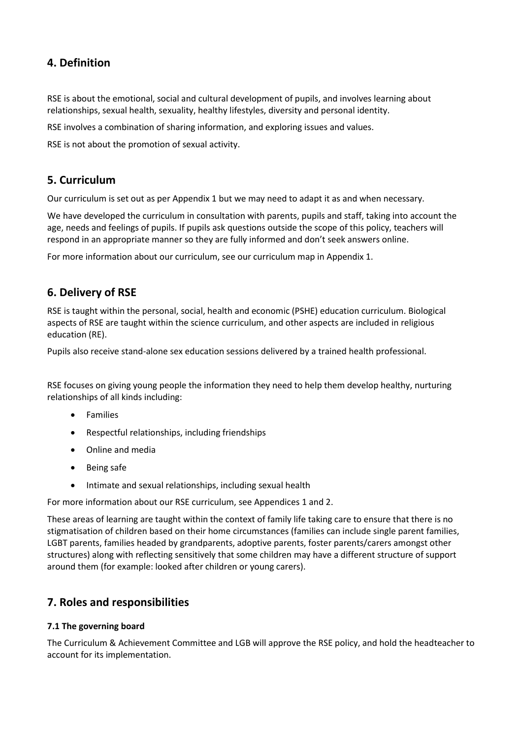## **4. Definition**

RSE is about the emotional, social and cultural development of pupils, and involves learning about relationships, sexual health, sexuality, healthy lifestyles, diversity and personal identity.

RSE involves a combination of sharing information, and exploring issues and values.

RSE is not about the promotion of sexual activity.

#### **5. Curriculum**

Our curriculum is set out as per Appendix 1 but we may need to adapt it as and when necessary.

We have developed the curriculum in consultation with parents, pupils and staff, taking into account the age, needs and feelings of pupils. If pupils ask questions outside the scope of this policy, teachers will respond in an appropriate manner so they are fully informed and don't seek answers online.

For more information about our curriculum, see our curriculum map in Appendix 1.

## **6. Delivery of RSE**

RSE is taught within the personal, social, health and economic (PSHE) education curriculum. Biological aspects of RSE are taught within the science curriculum, and other aspects are included in religious education (RE).

Pupils also receive stand-alone sex education sessions delivered by a trained health professional.

RSE focuses on giving young people the information they need to help them develop healthy, nurturing relationships of all kinds including:

- Families
- Respectful relationships, including friendships
- Online and media
- Being safe
- Intimate and sexual relationships, including sexual health

For more information about our RSE curriculum, see Appendices 1 and 2.

These areas of learning are taught within the context of family life taking care to ensure that there is no stigmatisation of children based on their home circumstances (families can include single parent families, LGBT parents, families headed by grandparents, adoptive parents, foster parents/carers amongst other structures) along with reflecting sensitively that some children may have a different structure of support around them (for example: looked after children or young carers).

## **7. Roles and responsibilities**

#### **7.1 The governing board**

The Curriculum & Achievement Committee and LGB will approve the RSE policy, and hold the headteacher to account for its implementation.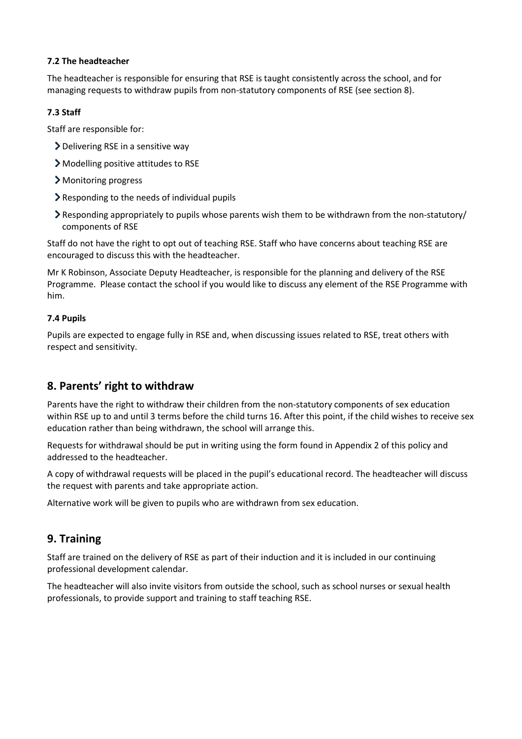#### **7.2 The headteacher**

The headteacher is responsible for ensuring that RSE is taught consistently across the school, and for managing requests to withdraw pupils from non-statutory components of RSE (see section 8).

#### **7.3 Staff**

Staff are responsible for:

- Delivering RSE in a sensitive way
- Modelling positive attitudes to RSE
- > Monitoring progress
- $\sum$  Responding to the needs of individual pupils
- Responding appropriately to pupils whose parents wish them to be withdrawn from the non-statutory/ components of RSE

Staff do not have the right to opt out of teaching RSE. Staff who have concerns about teaching RSE are encouraged to discuss this with the headteacher.

Mr K Robinson, Associate Deputy Headteacher, is responsible for the planning and delivery of the RSE Programme. Please contact the school if you would like to discuss any element of the RSE Programme with him.

#### **7.4 Pupils**

Pupils are expected to engage fully in RSE and, when discussing issues related to RSE, treat others with respect and sensitivity.

## **8. Parents' right to withdraw**

Parents have the right to withdraw their children from the non-statutory components of sex education within RSE up to and until 3 terms before the child turns 16. After this point, if the child wishes to receive sex education rather than being withdrawn, the school will arrange this.

Requests for withdrawal should be put in writing using the form found in Appendix 2 of this policy and addressed to the headteacher.

A copy of withdrawal requests will be placed in the pupil's educational record. The headteacher will discuss the request with parents and take appropriate action.

Alternative work will be given to pupils who are withdrawn from sex education.

## **9. Training**

Staff are trained on the delivery of RSE as part of their induction and it is included in our continuing professional development calendar.

The headteacher will also invite visitors from outside the school, such as school nurses or sexual health professionals, to provide support and training to staff teaching RSE.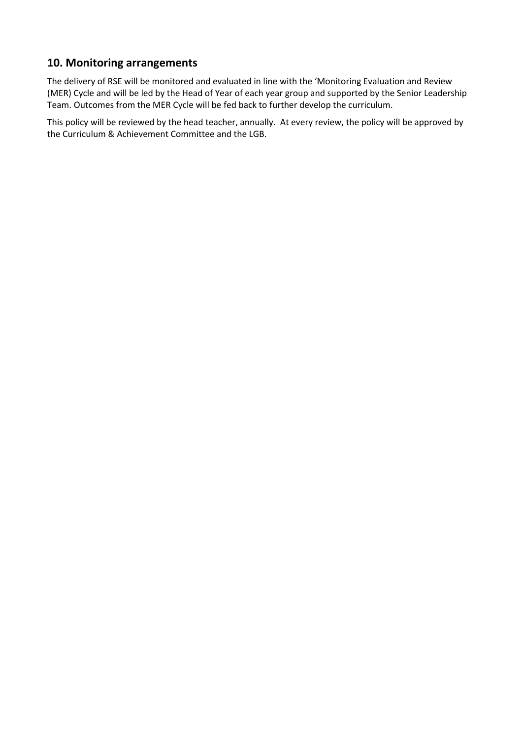## **10. Monitoring arrangements**

The delivery of RSE will be monitored and evaluated in line with the 'Monitoring Evaluation and Review (MER) Cycle and will be led by the Head of Year of each year group and supported by the Senior Leadership Team. Outcomes from the MER Cycle will be fed back to further develop the curriculum.

This policy will be reviewed by the head teacher, annually. At every review, the policy will be approved by the Curriculum & Achievement Committee and the LGB.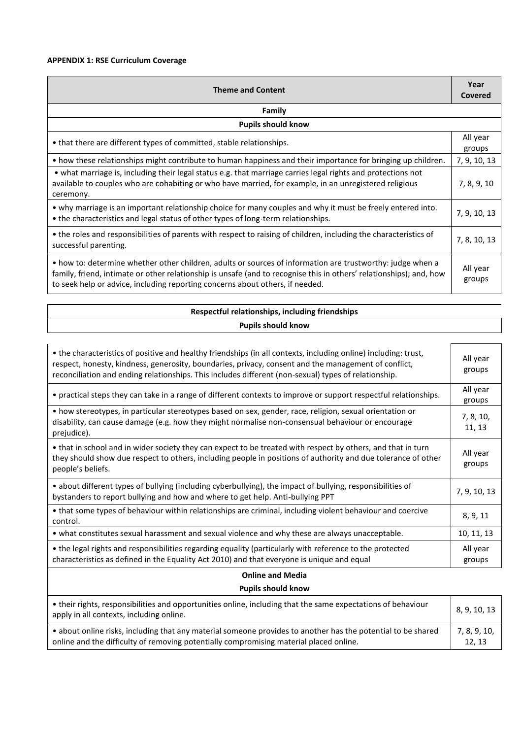#### **APPENDIX 1: RSE Curriculum Coverage**

| <b>Theme and Content</b>                                                                                                                                                                                                                                                                                           |                    |
|--------------------------------------------------------------------------------------------------------------------------------------------------------------------------------------------------------------------------------------------------------------------------------------------------------------------|--------------------|
| Family                                                                                                                                                                                                                                                                                                             |                    |
| <b>Pupils should know</b>                                                                                                                                                                                                                                                                                          |                    |
| • that there are different types of committed, stable relationships.                                                                                                                                                                                                                                               | All year<br>groups |
| • how these relationships might contribute to human happiness and their importance for bringing up children.                                                                                                                                                                                                       | 7, 9, 10, 13       |
| • what marriage is, including their legal status e.g. that marriage carries legal rights and protections not<br>available to couples who are cohabiting or who have married, for example, in an unregistered religious<br>ceremony.                                                                                | 7, 8, 9, 10        |
| • why marriage is an important relationship choice for many couples and why it must be freely entered into.<br>• the characteristics and legal status of other types of long-term relationships.                                                                                                                   |                    |
| • the roles and responsibilities of parents with respect to raising of children, including the characteristics of<br>successful parenting.                                                                                                                                                                         | 7, 8, 10, 13       |
| • how to: determine whether other children, adults or sources of information are trustworthy: judge when a<br>family, friend, intimate or other relationship is unsafe (and to recognise this in others' relationships); and, how<br>to seek help or advice, including reporting concerns about others, if needed. | All year<br>groups |

#### **Respectful relationships, including friendships Pupils should know**

| • the characteristics of positive and healthy friendships (in all contexts, including online) including: trust,<br>respect, honesty, kindness, generosity, boundaries, privacy, consent and the management of conflict,<br>reconciliation and ending relationships. This includes different (non-sexual) types of relationship. |                     |
|---------------------------------------------------------------------------------------------------------------------------------------------------------------------------------------------------------------------------------------------------------------------------------------------------------------------------------|---------------------|
| • practical steps they can take in a range of different contexts to improve or support respectful relationships.                                                                                                                                                                                                                | All year<br>groups  |
| • how stereotypes, in particular stereotypes based on sex, gender, race, religion, sexual orientation or<br>disability, can cause damage (e.g. how they might normalise non-consensual behaviour or encourage<br>prejudice).                                                                                                    | 7, 8, 10,<br>11, 13 |
| • that in school and in wider society they can expect to be treated with respect by others, and that in turn<br>they should show due respect to others, including people in positions of authority and due tolerance of other<br>people's beliefs.                                                                              |                     |
| • about different types of bullying (including cyberbullying), the impact of bullying, responsibilities of<br>bystanders to report bullying and how and where to get help. Anti-bullying PPT                                                                                                                                    |                     |
| • that some types of behaviour within relationships are criminal, including violent behaviour and coercive<br>control.                                                                                                                                                                                                          | 8, 9, 11            |
| • what constitutes sexual harassment and sexual violence and why these are always unacceptable.                                                                                                                                                                                                                                 | 10, 11, 13          |
| • the legal rights and responsibilities regarding equality (particularly with reference to the protected<br>characteristics as defined in the Equality Act 2010) and that everyone is unique and equal                                                                                                                          | All year<br>groups  |

## **Online and Media**

#### **Pupils should know**

| • their rights, responsibilities and opportunities online, including that the same expectations of behaviour<br>apply in all contexts, including online. |              |
|----------------------------------------------------------------------------------------------------------------------------------------------------------|--------------|
| • about online risks, including that any material someone provides to another has the potential to be shared                                             | 7, 8, 9, 10, |
| online and the difficulty of removing potentially compromising material placed online.                                                                   |              |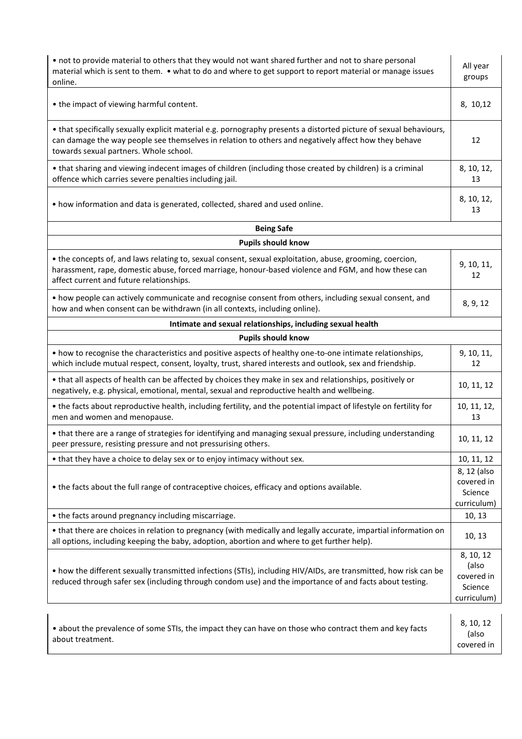| • not to provide material to others that they would not want shared further and not to share personal<br>material which is sent to them. • what to do and where to get support to report material or manage issues<br>online.                                        |                                                            |
|----------------------------------------------------------------------------------------------------------------------------------------------------------------------------------------------------------------------------------------------------------------------|------------------------------------------------------------|
| • the impact of viewing harmful content.                                                                                                                                                                                                                             | 8, 10, 12                                                  |
| • that specifically sexually explicit material e.g. pornography presents a distorted picture of sexual behaviours,<br>can damage the way people see themselves in relation to others and negatively affect how they behave<br>towards sexual partners. Whole school. | 12                                                         |
| • that sharing and viewing indecent images of children (including those created by children) is a criminal<br>offence which carries severe penalties including jail.                                                                                                 | 8, 10, 12,<br>13                                           |
| • how information and data is generated, collected, shared and used online.                                                                                                                                                                                          | 8, 10, 12,<br>13                                           |
| <b>Being Safe</b>                                                                                                                                                                                                                                                    |                                                            |
| <b>Pupils should know</b>                                                                                                                                                                                                                                            |                                                            |
| • the concepts of, and laws relating to, sexual consent, sexual exploitation, abuse, grooming, coercion,<br>harassment, rape, domestic abuse, forced marriage, honour-based violence and FGM, and how these can<br>affect current and future relationships.          | 9, 10, 11,<br>12                                           |
| • how people can actively communicate and recognise consent from others, including sexual consent, and<br>how and when consent can be withdrawn (in all contexts, including online).                                                                                 | 8, 9, 12                                                   |
| Intimate and sexual relationships, including sexual health                                                                                                                                                                                                           |                                                            |
| <b>Pupils should know</b>                                                                                                                                                                                                                                            |                                                            |
| • how to recognise the characteristics and positive aspects of healthy one-to-one intimate relationships,<br>which include mutual respect, consent, loyalty, trust, shared interests and outlook, sex and friendship.                                                | 9, 10, 11,<br>12                                           |
| • that all aspects of health can be affected by choices they make in sex and relationships, positively or<br>negatively, e.g. physical, emotional, mental, sexual and reproductive health and wellbeing.                                                             | 10, 11, 12                                                 |
| • the facts about reproductive health, including fertility, and the potential impact of lifestyle on fertility for<br>men and women and menopause.                                                                                                                   |                                                            |
| • that there are a range of strategies for identifying and managing sexual pressure, including understanding<br>peer pressure, resisting pressure and not pressurising others.                                                                                       | 10, 11, 12                                                 |
| • that they have a choice to delay sex or to enjoy intimacy without sex.                                                                                                                                                                                             | 10, 11, 12                                                 |
| • the facts about the full range of contraceptive choices, efficacy and options available.                                                                                                                                                                           |                                                            |
| • the facts around pregnancy including miscarriage.                                                                                                                                                                                                                  | 10, 13                                                     |
| • that there are choices in relation to pregnancy (with medically and legally accurate, impartial information on<br>all options, including keeping the baby, adoption, abortion and where to get further help).                                                      |                                                            |
| • how the different sexually transmitted infections (STIs), including HIV/AIDs, are transmitted, how risk can be<br>reduced through safer sex (including through condom use) and the importance of and facts about testing.                                          | 8, 10, 12<br>(also<br>covered in<br>Science<br>curriculum) |
| • about the prevalence of some STIs, the impact they can have on those who contract them and key facts<br>about treatment.                                                                                                                                           | 8, 10, 12<br>(also<br>covered in                           |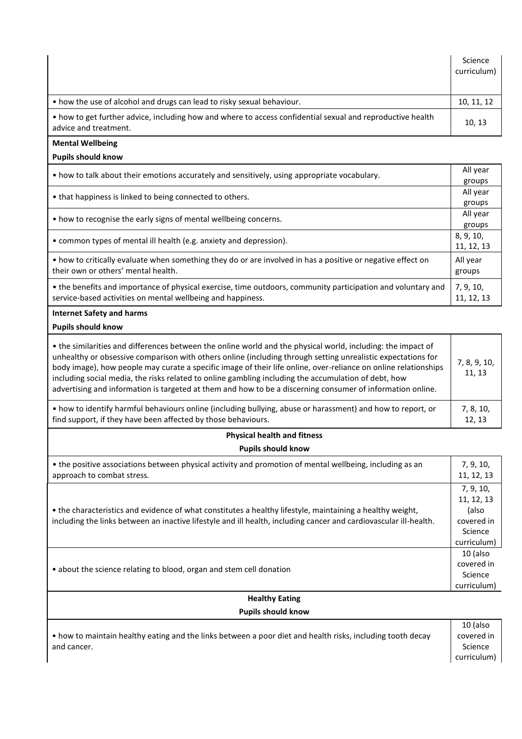|                                                                                                                                     | Science<br>curriculum) |
|-------------------------------------------------------------------------------------------------------------------------------------|------------------------|
| • how the use of alcohol and drugs can lead to risky sexual behaviour.                                                              | 10, 11, 12             |
| • how to get further advice, including how and where to access confidential sexual and reproductive health<br>advice and treatment. | 10, 13                 |

#### **Mental Wellbeing**

#### **Pupils should know**

| • how to talk about their emotions accurately and sensitively, using appropriate vocabulary.                                                       |            |
|----------------------------------------------------------------------------------------------------------------------------------------------------|------------|
|                                                                                                                                                    |            |
| • how to recognise the early signs of mental wellbeing concerns.                                                                                   |            |
|                                                                                                                                                    | groups     |
| • common types of mental ill health (e.g. anxiety and depression).                                                                                 |            |
|                                                                                                                                                    | 11, 12, 13 |
| . how to critically evaluate when something they do or are involved in has a positive or negative effect on<br>their own or others' mental health. |            |
|                                                                                                                                                    |            |
|                                                                                                                                                    |            |

#### **Internet Safety and harms**

**Pupils should know** 

| • the similarities and differences between the online world and the physical world, including: the impact of<br>unhealthy or obsessive comparison with others online (including through setting unrealistic expectations for<br>body image), how people may curate a specific image of their life online, over-reliance on online relationships<br>including social media, the risks related to online gambling including the accumulation of debt, how<br>advertising and information is targeted at them and how to be a discerning consumer of information online. |           |
|-----------------------------------------------------------------------------------------------------------------------------------------------------------------------------------------------------------------------------------------------------------------------------------------------------------------------------------------------------------------------------------------------------------------------------------------------------------------------------------------------------------------------------------------------------------------------|-----------|
| • how to identify harmful behaviours online (including bullying, abuse or harassment) and how to report, or                                                                                                                                                                                                                                                                                                                                                                                                                                                           | 7, 8, 10, |
| find support, if they have been affected by those behaviours.                                                                                                                                                                                                                                                                                                                                                                                                                                                                                                         | 12, 13    |

#### **Physical health and fitness Pupils should know**

| • the positive associations between physical activity and promotion of mental wellbeing, including as an<br>approach to combat stress.                                                                                         | 7, 9, 10,<br>11, 12, 13                                                  |
|--------------------------------------------------------------------------------------------------------------------------------------------------------------------------------------------------------------------------------|--------------------------------------------------------------------------|
| • the characteristics and evidence of what constitutes a healthy lifestyle, maintaining a healthy weight,<br>including the links between an inactive lifestyle and ill health, including cancer and cardiovascular ill-health. | 7, 9, 10,<br>11, 12, 13<br>(also<br>covered in<br>Science<br>curriculum) |
| • about the science relating to blood, organ and stem cell donation                                                                                                                                                            | 10 (also<br>covered in<br>Science<br>curriculum)                         |

#### **Healthy Eating Pupils should know**

|                                                                                                            | 10 (also    |
|------------------------------------------------------------------------------------------------------------|-------------|
| • how to maintain healthy eating and the links between a poor diet and health risks, including tooth decay | covered in  |
| and cancer.                                                                                                | Science     |
|                                                                                                            | curriculum) |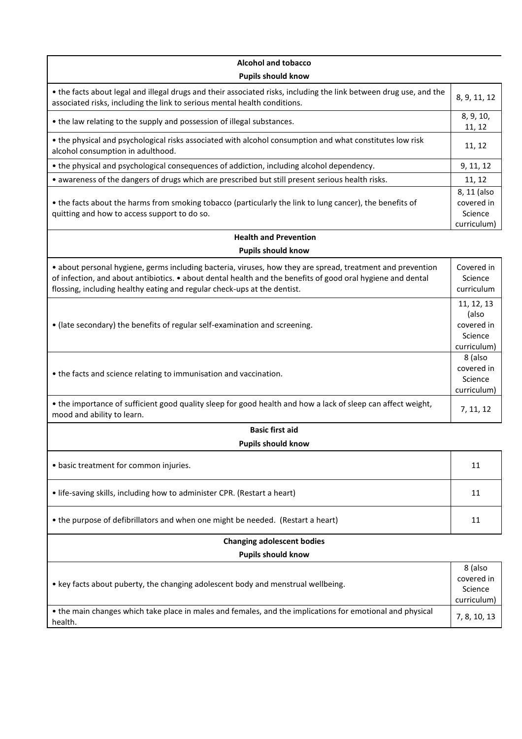| <b>Alcohol and tobacco</b>                                                                                                                                                                                                                                                                            |                                                             |  |
|-------------------------------------------------------------------------------------------------------------------------------------------------------------------------------------------------------------------------------------------------------------------------------------------------------|-------------------------------------------------------------|--|
| <b>Pupils should know</b>                                                                                                                                                                                                                                                                             |                                                             |  |
| • the facts about legal and illegal drugs and their associated risks, including the link between drug use, and the<br>associated risks, including the link to serious mental health conditions.                                                                                                       | 8, 9, 11, 12                                                |  |
| • the law relating to the supply and possession of illegal substances.                                                                                                                                                                                                                                |                                                             |  |
| • the physical and psychological risks associated with alcohol consumption and what constitutes low risk<br>alcohol consumption in adulthood.                                                                                                                                                         | 11, 12                                                      |  |
| • the physical and psychological consequences of addiction, including alcohol dependency.                                                                                                                                                                                                             | 9, 11, 12                                                   |  |
| . awareness of the dangers of drugs which are prescribed but still present serious health risks.                                                                                                                                                                                                      | 11, 12                                                      |  |
| • the facts about the harms from smoking tobacco (particularly the link to lung cancer), the benefits of<br>quitting and how to access support to do so.                                                                                                                                              | 8, 11 (also<br>covered in<br>Science<br>curriculum)         |  |
| <b>Health and Prevention</b>                                                                                                                                                                                                                                                                          |                                                             |  |
| <b>Pupils should know</b>                                                                                                                                                                                                                                                                             |                                                             |  |
| · about personal hygiene, germs including bacteria, viruses, how they are spread, treatment and prevention<br>of infection, and about antibiotics. • about dental health and the benefits of good oral hygiene and dental<br>flossing, including healthy eating and regular check-ups at the dentist. | Covered in<br>Science<br>curriculum                         |  |
| • (late secondary) the benefits of regular self-examination and screening.                                                                                                                                                                                                                            | 11, 12, 13<br>(also<br>covered in<br>Science<br>curriculum) |  |
| • the facts and science relating to immunisation and vaccination.                                                                                                                                                                                                                                     | 8 (also<br>covered in<br>Science<br>curriculum)             |  |
| • the importance of sufficient good quality sleep for good health and how a lack of sleep can affect weight,<br>mood and ability to learn.                                                                                                                                                            |                                                             |  |
| <b>Basic first aid</b>                                                                                                                                                                                                                                                                                |                                                             |  |
| <b>Pupils should know</b>                                                                                                                                                                                                                                                                             |                                                             |  |
| • basic treatment for common injuries.                                                                                                                                                                                                                                                                | 11                                                          |  |
| • life-saving skills, including how to administer CPR. (Restart a heart)                                                                                                                                                                                                                              | 11                                                          |  |
| • the purpose of defibrillators and when one might be needed. (Restart a heart)                                                                                                                                                                                                                       | 11                                                          |  |
| <b>Changing adolescent bodies</b>                                                                                                                                                                                                                                                                     |                                                             |  |
| <b>Pupils should know</b>                                                                                                                                                                                                                                                                             |                                                             |  |
| • key facts about puberty, the changing adolescent body and menstrual wellbeing.                                                                                                                                                                                                                      | 8 (also<br>covered in<br>Science<br>curriculum)             |  |
| • the main changes which take place in males and females, and the implications for emotional and physical<br>health.                                                                                                                                                                                  | 7, 8, 10, 13                                                |  |